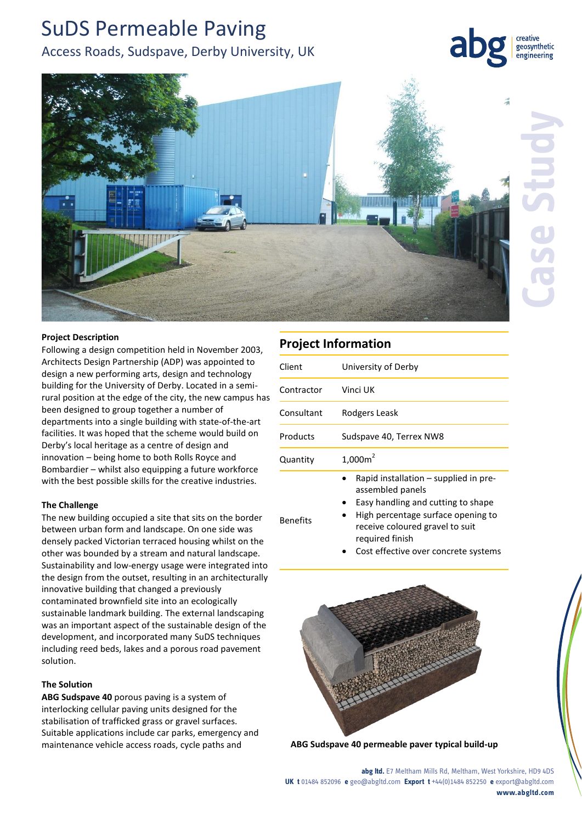## SuDS Permeable Paving Access Roads, Sudspave, Derby University, UK

## geosynthetic engineering



Benefits

## **Project Description**

Following a design competition held in November 2003, Architects Design Partnership (ADP) was appointed to design a new performing arts, design and technology building for the University of Derby. Located in a semirural position at the edge of the city, the new campus has been designed to group together a number of departments into a single building with state-of-the-art facilities. It was hoped that the scheme would build on Derby's local heritage as a centre of design and innovation – being home to both Rolls Royce and Bombardier – whilst also equipping a future workforce with the best possible skills for the creative industries.

## **The Challenge**

The new building occupied a site that sits on the border between urban form and landscape. On one side was densely packed Victorian terraced housing whilst on the other was bounded by a stream and natural landscape. Sustainability and low-energy usage were integrated into the design from the outset, resulting in an architecturally innovative building that changed a previously contaminated brownfield site into an ecologically sustainable landmark building. The external landscaping was an important aspect of the sustainable design of the development, and incorporated many SuDS techniques including reed beds, lakes and a porous road pavement solution.

#### **The Solution**

**ABG Sudspave 40** porous paving is a system of interlocking cellular paving units designed for the stabilisation of trafficked grass or gravel surfaces. Suitable applications include car parks, emergency and maintenance vehicle access roads, cycle paths and **ABG Sudspave 40 permeable paver typical build-up**

# **Project Information** Client University of Derby

| <b>CHELL</b> | <b>UTILIA UL DEL DA</b>                                     |
|--------------|-------------------------------------------------------------|
| Contractor   | Vinci UK                                                    |
| Consultant   | Rodgers Leask                                               |
| Products     | Sudspave 40, Terrex NW8                                     |
| Quantity     | $1,000m^2$                                                  |
|              | Rapid installation $-$ supplied in pre-<br>assembled panels |

- Easy handling and cutting to shape
- High percentage surface opening to receive coloured gravel to suit required finish
	- Cost effective over concrete systems



**abg ltd.** E7 Meltham Mills Rd, Meltham, West Yorkshire, HD9 4DS **UK t** 01484 852096 **e** geo@abgltd.com **Export t** +44(0)1484 852250 **e** export@abgltd.com **www.abgltd.com**